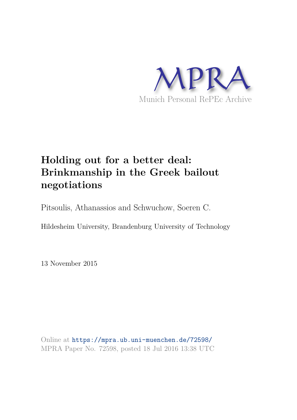

# **Holding out for a better deal: Brinkmanship in the Greek bailout negotiations**

Pitsoulis, Athanassios and Schwuchow, Soeren C.

Hildesheim University, Brandenburg University of Technology

13 November 2015

Online at https://mpra.ub.uni-muenchen.de/72598/ MPRA Paper No. 72598, posted 18 Jul 2016 13:38 UTC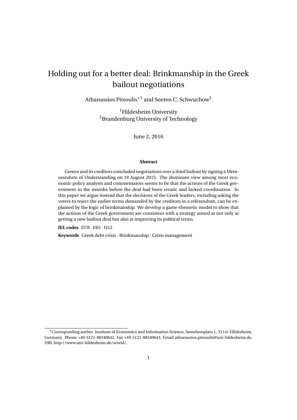## Holding out for a better deal: Brinkmanship in the Greek bailout negotiations

Athanassios Pitsoulis $^{\ast\, 1}$  and Soeren C. Schwuchow $^2$ 

<sup>1</sup>Hildesheim University <sup>2</sup>Brandenburg University of Technology

June 2, 2016

#### **Abstract**

Greece and its creditors concluded negotiations over a third bailout by signing a Memorandum of Understanding on 19 August 2015. The dominant view among most economic policy analysts and commentators seems to be that the actions of the Greek government in the months before the deal had been erratic and lacked coordination. In this paper we argue instead that the decisions of the Greek leaders, including asking the voters to reject the earlier terms demanded by the creditors in a referendum, can be explained by the logic of brinkmanship. We develop a game-theoretic model to show that the actions of the Greek government are consistent with a strategy aimed at not only at getting a new bailout deal but also at improving its political terms.

**JEL codes** D78 · E65 · H12

**Keywords** Greek debt crisis · Brinkmanship · Crisis management

<sup>∗</sup>Corresponding author. Institute of Economics and Information Science, Samelsonplatz 1, 31141 Hildesheim, Germany. Phone +49-5121-88340642, Fax +49-5121-88340643, Email athanassios.pitsoulis@uni-hildesheim.de, URL http://www.uni-hildesheim.de/wiwid/.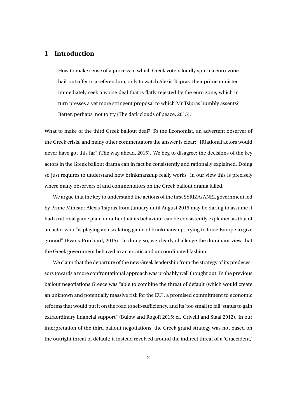## **1 Introduction**

How to make sense of a process in which Greek voters loudly spurn a euro-zone bail-out offer in a referendum, only to watch Alexis Tsipras, their prime minister, immediately seek a worse deal that is flatly rejected by the euro zone, which in turn presses a yet more stringent proposal to which Mr Tsipras humbly assents? Better, perhaps, not to try (The dark clouds of peace, 2015).

What to make of the third Greek bailout deal? To the Economist, an advertent observer of the Greek crisis, and many other commentators the answer is clear: "[R]ational actors would never have got this far" (The way ahead, 2015). We beg to disagree; the decisions of the key actors in the Greek bailout drama can in fact be consistently and rationally explained. Doing so just requires to understand how brinkmanship really works. In our view this is precisely where many observers of and commentators on the Greek bailout drama failed.

We argue that the key to understand the actions of the first SYRIZA/ANEL government led by Prime Minister Alexis Tsipras from January until August 2015 may be daring to assume it had a rational game plan, or rather that its behaviour can be consistently explained as that of an actor who "is playing an escalating game of brinkmanship, trying to force Europe to give ground" (Evans-Pritchard, 2015). In doing so, we clearly challenge the dominant view that the Greek government behaved in an erratic and uncoordinated fashion.

We claim that the departure of the new Greek leadership from the strategy of its predecessors towards a more confrontational approach was probably well thought out. In the previous bailout negotiations Greece was "able to combine the threat of default (which would create an unknown and potentially massive risk for the EU), a promised commitment to economic reforms that would put it on the road to self-sufficiency, and its 'too small to fail' status to gain extraordinary financial support" (Bulow and Rogoff 2015; cf. Crivelli and Staal 2012). In our interpretation of the third bailout negotiations, the Greek grand strategy was not based on the outright threat of default; it instead revolved around the indirect threat of a 'Graccident,'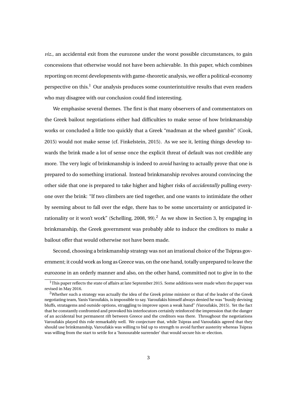*viz.*, an accidental exit from the eurozone under the worst possible circumstances, to gain concessions that otherwise would not have been achievable. In this paper, which combines reporting on recent developments with game-theoretic analysis, we offer a political-economy perspective on this.<sup>1</sup> Our analysis produces some counterintuitive results that even readers who may disagree with our conclusion could find interesting.

We emphasise several themes. The first is that many observers of and commentators on the Greek bailout negotiations either had difficulties to make sense of how brinkmanship works or concluded a little too quickly that a Greek "madman at the wheel gambit" (Cook, 2015) would not make sense (cf. Finkelstein, 2015). As we see it, letting things develop towards the brink made a lot of sense once the explicit threat of default was not credible any more. The very logic of brinkmanship is indeed to *avoid* having to actually prove that one is prepared to do something irrational. Instead brinkmanship revolves around convincing the other side that one is prepared to take higher and higher risks of *accidentally* pulling everyone over the brink: "If two climbers are tied together, and one wants to intimidate the other by seeming about to fall over the edge, there has to be some uncertainty or anticipated irrationality or it won't work" (Schelling, 2008, 99).<sup>2</sup> As we show in Section 3, by engaging in brinkmanship, the Greek government was probably able to induce the creditors to make a bailout offer that would otherwise not have been made.

Second, choosing a brinkmanship strategy was not an irrational choice of the Tsipras government; it could work as long as Greece was, on the one hand, totally unprepared to leave the eurozone in an orderly manner and also, on the other hand, committed not to give in to the

 $<sup>1</sup>$ This paper reflects the state of affairs at late September 2015. Some additions were made when the paper was</sup> revised in May 2016.

<sup>&</sup>lt;sup>2</sup>Whether such a strategy was actually the idea of the Greek prime minister or that of the leader of the Greek negotiating team, Yanis Varoufakis, is impossible to say. Varoufakis himself always denied he was "busily devising bluffs, stratagems and outside options, struggling to improve upon a weak hand" (Varoufakis, 2015). Yet the fact that he constantly confronted and provoked his interlocutors certainly reinforced the impression that the danger of an accidental but permanent rift between Greece and the creditors was there. Throughout the negotiations Varoufakis played this role remarkably well. We conjecture that, while Tsipras and Varoufakis agreed that they should use brinkmanship, Varoufakis was willing to bid up to strength to avoid further austerity whereas Tsipras was willing from the start to settle for a 'honourable surrender' that would secure his re-election.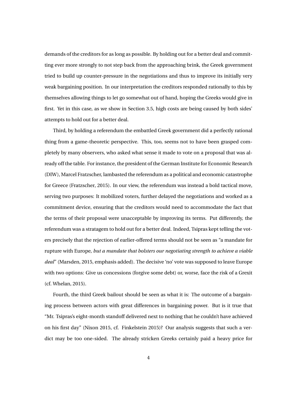demands of the creditors for as long as possible. By holding out for a better deal and committing ever more strongly to not step back from the approaching brink, the Greek government tried to build up counter-pressure in the negotiations and thus to improve its initially very weak bargaining position. In our interpretation the creditors responded rationally to this by themselves allowing things to let go somewhat out of hand, hoping the Greeks would give in first. Yet in this case, as we show in Section 3.5, high costs are being caused by both sides' attempts to hold out for a better deal.

Third, by holding a referendum the embattled Greek government did a perfectly rational thing from a game-theoretic perspective. This, too, seems not to have been grasped completely by many observers, who asked what sense it made to vote on a proposal that was already off the table. For instance, the president of the German Institute for Economic Research (DIW), Marcel Fratzscher, lambasted the referendum as a political and economic catastrophe for Greece (Fratzscher, 2015). In our view, the referendum was instead a bold tactical move, serving two purposes: It mobilized voters, further delayed the negotiations and worked as a commitment device, ensuring that the creditors would need to accommodate the fact that the terms of their proposal were unacceptable by improving its terms. Put differently, the referendum was a stratagem to hold out for a better deal. Indeed, Tsipras kept telling the voters precisely that the rejection of earlier-offered terms should not be seen as "a mandate for rupture with Europe, *but a mandate that bolsters our negotiating strength to achieve a viable deal*" (Marsden, 2015, emphasis added). The decisive 'no' vote was supposed to leave Europe with two options: Give us concessions (forgive some debt) or, worse, face the risk of a Grexit (cf. Whelan, 2015).

Fourth, the third Greek bailout should be seen as what it is: The outcome of a bargaining process between actors with great differences in bargaining power. But is it true that "Mr. Tsipras's eight-month standoff delivered next to nothing that he couldn't have achieved on his first day" (Nixon 2015, cf. Finkelstein 2015)? Our analysis suggests that such a verdict may be too one-sided. The already stricken Greeks certainly paid a heavy price for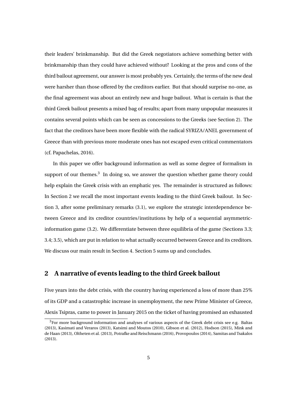their leaders' brinkmanship. But did the Greek negotiators achieve something better with brinkmanship than they could have achieved without? Looking at the pros and cons of the third bailout agreement, our answer is most probably yes. Certainly, the terms of the new deal were harsher than those offered by the creditors earlier. But that should surprise no-one, as the final agreement was about an entirely new and huge bailout. What is certain is that the third Greek bailout presents a mixed bag of results; apart from many unpopular measures it contains several points which can be seen as concessions to the Greeks (see Section 2). The fact that the creditors have been more flexible with the radical SYRIZA/ANEL government of Greece than with previous more moderate ones has not escaped even critical commentators (cf. Papachelas, 2016).

In this paper we offer background information as well as some degree of formalism in support of our themes.<sup>3</sup> In doing so, we answer the question whether game theory could help explain the Greek crisis with an emphatic yes. The remainder is structured as follows: In Section 2 we recall the most important events leading to the third Greek bailout. In Section 3, after some preliminary remarks (3.1), we explore the strategic interdependence between Greece and its creditor countries/institutions by help of a sequential asymmetricinformation game (3.2). We differentiate between three equilibria of the game (Sections 3.3; 3.4; 3.5), which are put in relation to what actually occurred between Greece and its creditors. We discuss our main result in Section 4. Section 5 sums up and concludes.

### **2 A narrative of events leading to the third Greek bailout**

Five years into the debt crisis, with the country having experienced a loss of more than 25% of its GDP and a catastrophic increase in unemployment, the new Prime Minister of Greece, Alexis Tsipras, came to power in January 2015 on the ticket of having promised an exhausted

 $3$ For more background information and analyses of various aspects of the Greek debt crisis see e.g. Baltas (2013), Kasimati and Veraros (2013), Katsimi and Moutos (2010), Gibson et al. (2012), Hodson (2015), Mink and de Haan (2013), Oltheten et al. (2013), Potrafke and Reischmann (2016), Provopoulos (2014), Samitas and Tsakalos (2013).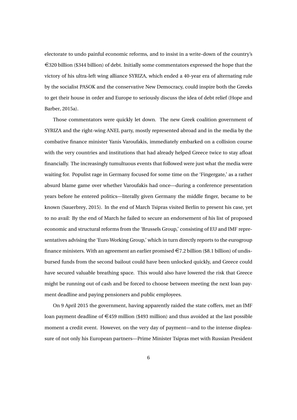electorate to undo painful economic reforms, and to insist in a write-down of the country's €320 billion (\$344 billion) of debt. Initially some commentators expressed the hope that the victory of his ultra-left wing alliance SYRIZA, which ended a 40-year era of alternating rule by the socialist PASOK and the conservative New Democracy, could inspire both the Greeks to get their house in order and Europe to seriously discuss the idea of debt relief (Hope and Barber, 2015a).

Those commentators were quickly let down. The new Greek coalition government of SYRIZA and the right-wing ANEL party, mostly represented abroad and in the media by the combative finance minister Yanis Varoufakis, immediately embarked on a collision course with the very countries and institutions that had already helped Greece twice to stay afloat financially. The increasingly tumultuous events that followed were just what the media were waiting for. Populist rage in Germany focused for some time on the 'Fingergate,' as a rather absurd blame game over whether Varoufakis had once—during a conference presentation years before he entered politics—literally given Germany the middle finger, became to be known (Sauerbrey, 2015). In the end of March Tsipras visited Berlin to present his case, yet to no avail: By the end of March he failed to secure an endorsement of his list of proposed economic and structural reforms from the 'Brussels Group,' consisting of EU and IMF representatives advising the 'Euro Working Group,' which in turn directly reports to the eurogroup finance ministers. With an agreement an earlier promised  $\epsilon$ 7.2 billion (\$8.1 billion) of undisbursed funds from the second bailout could have been unlocked quickly, and Greece could have secured valuable breathing space. This would also have lowered the risk that Greece might be running out of cash and be forced to choose between meeting the next loan payment deadline and paying pensioners and public employees.

On 9 April 2015 the government, having apparently raided the state coffers, met an IMF loan payment deadline of  $\epsilon$ 459 million (\$493 million) and thus avoided at the last possible moment a credit event. However, on the very day of payment—and to the intense displeasure of not only his European partners—Prime Minister Tsipras met with Russian President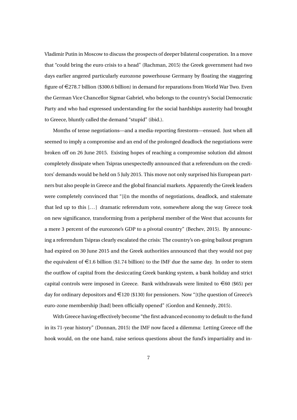Vladimir Putin in Moscow to discuss the prospects of deeper bilateral cooperation. In a move that "could bring the euro crisis to a head" (Rachman, 2015) the Greek government had two days earlier angered particularly eurozone powerhouse Germany by floating the staggering figure of  $\epsilon$ 278.7 billion (\$300.6 billion) in demand for reparations from World War Two. Even the German Vice Chancellor Sigmar Gabriel, who belongs to the country's Social Democratic Party and who had expressed understanding for the social hardships austerity had brought to Greece, bluntly called the demand "stupid" (ibid.).

Months of tense negotiations—and a media-reporting firestorm—ensued. Just when all seemed to imply a compromise and an end of the prolonged deadlock the negotiations were broken off on 26 June 2015. Existing hopes of reaching a compromise solution did almost completely dissipate when Tsipras unexpectedly announced that a referendum on the creditors' demands would be held on 5 July 2015. This move not only surprised his European partners but also people in Greece and the global financial markets. Apparently the Greek leaders were completely convinced that "[i]n the months of negotiations, deadlock, and stalemate that led up to this [. . . ] dramatic referendum vote, somewhere along the way Greece took on new significance, transforming from a peripheral member of the West that accounts for a mere 3 percent of the eurozone's GDP to a pivotal country" (Bechev, 2015). By announcing a referendum Tsipras clearly escalated the crisis: The country's on-going bailout program had expired on 30 June 2015 and the Greek authorities announced that they would not pay the equivalent of  $\epsilon$ 1.6 billion (\$1.74 billion) to the IMF due the same day. In order to stem the outflow of capital from the desiccating Greek banking system, a bank holiday and strict capital controls were imposed in Greece. Bank withdrawals were limited to  $\epsilon$ 60 (\$65) per day for ordinary depositors and  $\epsilon$ 120 (\$130) for pensioners. Now "[t]he question of Greece's euro-zone membership [had] been officially opened" (Gordon and Kennedy, 2015).

With Greece having effectively become "the first advanced economy to default to the fund in its 71-year history" (Donnan, 2015) the IMF now faced a dilemma: Letting Greece off the hook would, on the one hand, raise serious questions about the fund's impartiality and in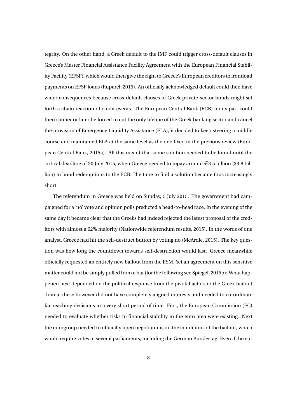tegrity. On the other hand, a Greek default to the IMF could trigger cross-default clauses in Greece's Master Financial Assistance Facility Agreement with the European Financial Stability Facility (EFSF), which would then give the right to Greece's European creditors to frontload payments on EFSF loans (Ruparel, 2015). An officially acknowledged default could then have wider consequences because cross-default clauses of Greek private-sector bonds might set forth a chain reaction of credit events. The European Central Bank (ECB) on its part could then sooner or later be forced to cut the only lifeline of the Greek banking sector and cancel the provision of Emergency Liquidity Assistance (ELA); it decided to keep steering a middle course and maintained ELA at the same level as the one fixed in the previous review (European Central Bank, 2015a). All this meant that some solution needed to be found until the critical deadline of 20 July 2015, when Greece needed to repay around  $\epsilon$ 3.5 billion (\$3.8 billion) in bond redemptions to the ECB. The time to find a solution became thus increasingly short.

The referendum in Greece was held on Sunday, 5 July 2015. The government had campaigned for a 'no' vote and opinion polls predicted a head-to-head race. In the evening of the same day it became clear that the Greeks had indeed rejected the latest proposal of the creditors with almost a 62% majority (Nationwide referendum results, 2015). In the words of one analyst, Greece had hit the self-destruct button by voting no (McArdle, 2015). The key question was how long the countdown towards self-destruction would last. Greece meanwhile officially requested an entirely new bailout from the ESM. Yet an agreement on this sensitive matter could not be simply pulled from a hat (for the following see Spiegel, 2015b): What happened next depended on the political response from the pivotal actors in the Greek bailout drama; these however did not have completely aligned interests and needed to co-ordinate far-reaching decisions in a very short period of time. First, the European Commission (EC) needed to evaluate whether risks to financial stability in the euro area were existing. Next the eurogroup needed to officially open negotiations on the conditions of the bailout, which would require votes in several parliaments, including the German Bundestag. Even if the eu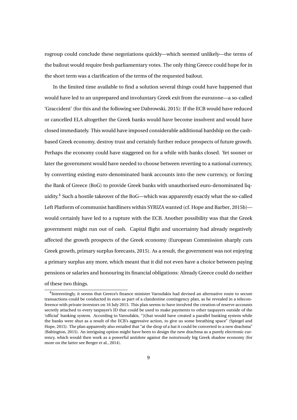rogroup could conclude these negotiations quickly—which seemed unlikely—the terms of the bailout would require fresh parliamentary votes. The only thing Greece could hope for in the short term was a clarification of the terms of the requested bailout.

In the limited time available to find a solution several things could have happened that would have led to an unprepared and involuntary Greek exit from the eurozone—a so-called 'Graccident' (for this and the following see Dabrowski, 2015): If the ECB would have reduced or cancelled ELA altogether the Greek banks would have become insolvent and would have closed immediately. This would have imposed considerable additional hardship on the cashbased Greek economy, destroy trust and certainly further reduce prospects of future growth. Perhaps the economy could have staggered on for a while with banks closed. Yet sooner or later the government would have needed to choose between reverting to a national currency, by converting existing euro-denominated bank accounts into the new currency, or forcing the Bank of Greece (BoG) to provide Greek banks with unauthorised euro-denominated liquidity.<sup>4</sup> Such a hostile takeover of the BoG—which was apparently exactly what the so-called Left Platform of communist hardliners within SYRIZA wanted (cf. Hope and Barber, 2015b) would certainly have led to a rupture with the ECB. Another possibility was that the Greek government might run out of cash. Capital flight and uncertainty had already negatively affected the growth prospects of the Greek economy (European Commission sharply cuts Greek growth, primary surplus forecasts, 2015). As a result, the government was not enjoying a primary surplus any more, which meant that it did not even have a choice between paying pensions or salaries and honouring its financial obligations: Already Greece could do neither of these two things.

 $^4$ Interestingly, it seems that Greece's finance minister Varoufakis had devised an alternative route to secure transactions could be conducted in euro as part of a clandestine contingency plan, as he revealed in a teleconference with private investors on 16 July 2015. This plan seems to have involved the creation of reserve accounts secretly attached to every taxpayer's ID that could be used to make payments to other taxpayers outside of the 'official' banking system. According to Varoufakis, "[t]hat would have created a parallel banking system while the banks were shut as a result of the ECB's aggressive action, to give us some breathing space" (Spiegel and Hope, 2015). The plan apparently also entailed that "at the drop of a hat it could be converted to a new drachma" (Babington, 2015). An intriguing option might have been to design the new drachma as a purely electronic currency, which would then work as a powerful antidote against the notoriously big Greek shadow economy (for more on the latter see Berger et al., 2014).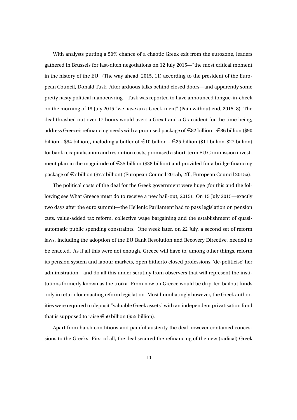With analysts putting a 50% chance of a chaotic Greek exit from the eurozone, leaders gathered in Brussels for last-ditch negotiations on 12 July 2015—"the most critical moment in the history of the EU" (The way ahead, 2015, 11) according to the president of the European Council, Donald Tusk. After arduous talks behind closed doors—and apparently some pretty nasty political manoeuvring—Tusk was reported to have announced tongue-in-cheek on the morning of 13 July 2015 "we have an a-Greek-ment" (Pain without end, 2015, 8). The deal thrashed out over 17 hours would avert a Grexit and a Graccident for the time being, address Greece's refinancing needs with a promised package of  $\epsilon$ 82 billion -  $\epsilon$ 86 billion (\$90 billion - \$94 billion), including a buffer of  $\epsilon$ 10 billion  $\epsilon$ 25 billion (\$11 billion-\$27 billion) for bank recapitalisation and resolution costs, promised a short-term EU Commission investment plan in the magnitude of  $\epsilon$ 35 billion (\$38 billion) and provided for a bridge financing package of  $\epsilon$ 7 billion (\$7.7 billion) (European Council 2015b, 2ff., European Council 2015a).

The political costs of the deal for the Greek government were huge (for this and the following see What Greece must do to receive a new bail-out, 2015). On 15 July 2015—exactly two days after the euro summit—the Hellenic Parliament had to pass legislation on pension cuts, value-added tax reform, collective wage bargaining and the establishment of quasiautomatic public spending constraints. One week later, on 22 July, a second set of reform laws, including the adoption of the EU Bank Resolution and Recovery Directive, needed to be enacted. As if all this were not enough, Greece will have to, among other things, reform its pension system and labour markets, open hitherto closed professions, 'de-politicise' her administration—and do all this under scrutiny from observers that will represent the institutions formerly known as the troika. From now on Greece would be drip-fed bailout funds only in return for enacting reform legislation. Most humiliatingly however, the Greek authorities were required to deposit "valuable Greek assets" with an independent privatisation fund that is supposed to raise  $\epsilon$ 50 billion (\$55 billion).

Apart from harsh conditions and painful austerity the deal however contained concessions to the Greeks. First of all, the deal secured the refinancing of the new (radical) Greek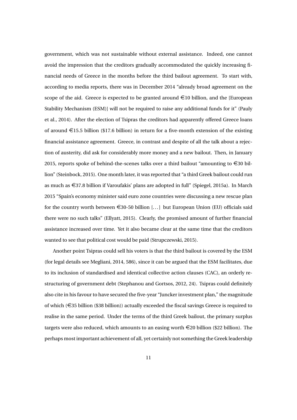government, which was not sustainable without external assistance. Indeed, one cannot avoid the impression that the creditors gradually accommodated the quickly increasing financial needs of Greece in the months before the third bailout agreement. To start with, according to media reports, there was in December 2014 "already broad agreement on the scope of the aid. Greece is expected to be granted around  $\in$ 10 billion, and the [European Stability Mechanism (ESM)] will not be required to raise any additional funds for it" (Pauly et al., 2014). After the election of Tsipras the creditors had apparently offered Greece loans of around  $\epsilon$ 15.5 billion (\$17.6 billion) in return for a five-month extension of the existing financial assistance agreement. Greece, in contrast and despite of all the talk about a rejection of austerity, did ask for considerably more money and a new bailout. Then, in January 2015, reports spoke of behind-the-scenes talks over a third bailout "amounting to  $\epsilon$ 30 billion" (Steinbock, 2015). One month later, it was reported that "a third Greek bailout could run as much as  $\epsilon$ 37.8 billion if Varoufakis' plans are adopted in full" (Spiegel, 2015a). In March 2015 "Spain's economy minister said euro zone countries were discussing a new rescue plan for the country worth between  $\epsilon$ 30-50 billion [...] but European Union (EU) officials said there were no such talks" (Ellyatt, 2015). Clearly, the promised amount of further financial assistance increased over time. Yet it also became clear at the same time that the creditors wanted to see that political cost would be paid (Strupczewski, 2015).

Another point Tsipras could sell his voters is that the third bailout is covered by the ESM (for legal details see Megliani, 2014, 586), since it can be argued that the ESM facilitates, due to its inclusion of standardised and identical collective action clauses (CAC), an orderly restructuring of government debt (Stephanou and Gortsos, 2012, 24). Tsipras could definitely also cite in his favour to have secured the five-year "Juncker investment plan," the magnitude of which  $(\text{\textless}\,35 \text{ billion})$  (\$38 billion)) actually exceeded the fiscal savings Greece is required to realise in the same period. Under the terms of the third Greek bailout, the primary surplus targets were also reduced, which amounts to an easing worth  $\epsilon$  20 billion (\$22 billion). The perhaps most important achievement of all, yet certainly not something the Greek leadership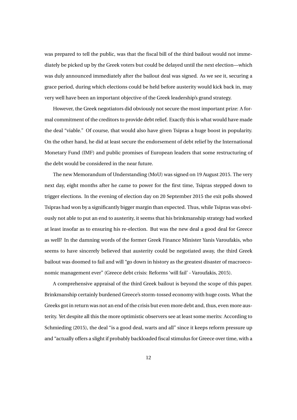was prepared to tell the public, was that the fiscal bill of the third bailout would not immediately be picked up by the Greek voters but could be delayed until the next election—which was duly announced immediately after the bailout deal was signed. As we see it, securing a grace period, during which elections could be held before austerity would kick back in, may very well have been an important objective of the Greek leadership's grand strategy.

However, the Greek negotiators did obviously not secure the most important prize: A formal commitment of the creditors to provide debt relief. Exactly this is what would have made the deal "viable." Of course, that would also have given Tsipras a huge boost in popularity. On the other hand, he did at least secure the endorsement of debt relief by the International Monetary Fund (IMF) and public promises of European leaders that some restructuring of the debt would be considered in the near future.

The new Memorandum of Understanding (MoU) was signed on 19 August 2015. The very next day, eight months after he came to power for the first time, Tsipras stepped down to trigger elections. In the evening of election day on 20 September 2015 the exit polls showed Tsipras had won by a significantly bigger margin than expected. Thus, while Tsipras was obviously not able to put an end to austerity, it seems that his brinkmanship strategy had worked at least insofar as to ensuring his re-election. But was the new deal a good deal for Greece as well? In the damning words of the former Greek Finance Minister Yanis Varoufakis, who seems to have sincerely believed that austerity could be negotiated away, the third Greek bailout was doomed to fail and will "go down in history as the greatest disaster of macroeconomic management ever" (Greece debt crisis: Reforms 'will fail' - Varoufakis, 2015).

A comprehensive appraisal of the third Greek bailout is beyond the scope of this paper. Brinkmanship certainly burdened Greece's storm-tossed economy with huge costs. What the Greeks got in return was not an end of the crisis but even more debt and, thus, even more austerity. Yet despite all this the more optimistic observers see at least some merits: According to Schmieding (2015), the deal "is a good deal, warts and all" since it keeps reform pressure up and "actually offers a slight if probably backloaded fiscal stimulus for Greece over time, with a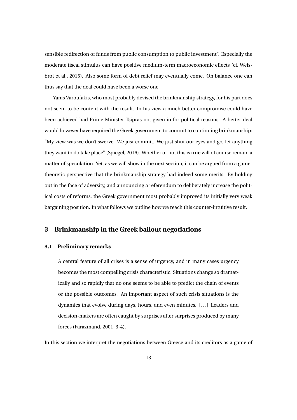sensible redirection of funds from public consumption to public investment". Especially the moderate fiscal stimulus can have positive medium-term macroeconomic effects (cf. Weisbrot et al., 2015). Also some form of debt relief may eventually come. On balance one can thus say that the deal could have been a worse one.

Yanis Varoufakis, who most probably devised the brinkmanship strategy, for his part does not seem to be content with the result. In his view a much better compromise could have been achieved had Prime Minister Tsipras not given in for political reasons. A better deal would however have required the Greek government to commit to continuing brinkmanship: "My view was we don't swerve. We just commit. We just shut our eyes and go, let anything they want to do take place" (Spiegel, 2016). Whether or not this is true will of course remain a matter of speculation. Yet, as we will show in the next section, it can be argued from a gametheoretic perspective that the brinkmanship strategy had indeed some merits. By holding out in the face of adversity, and announcing a referendum to deliberately increase the political costs of reforms, the Greek government most probably improved its initially very weak bargaining position. In what follows we outline how we reach this counter-intuitive result.

## **3 Brinkmanship in the Greek bailout negotiations**

#### **3.1 Preliminary remarks**

A central feature of all crises is a sense of urgency, and in many cases urgency becomes the most compelling crisis characteristic. Situations change so dramatically and so rapidly that no one seems to be able to predict the chain of events or the possible outcomes. An important aspect of such crisis situations is the dynamics that evolve during days, hours, and even minutes. [. . . ] Leaders and decision-makers are often caught by surprises after surprises produced by many forces (Farazmand, 2001, 3-4).

In this section we interpret the negotiations between Greece and its creditors as a game of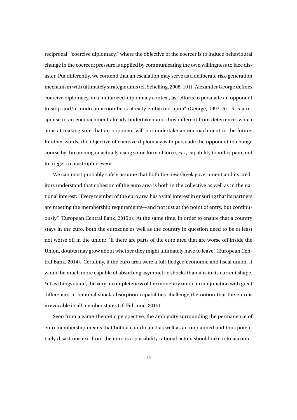reciprocal "'coercive diplomacy," where the objective of the coercer is to induce behavioural change in the coerced; pressure is applied by communicating the own willingness to face disaster. Put differently, we contend that an escalation may serve as a deliberate risk-generation mechanism with ultimately strategic aims (cf. Schelling, 2008, 101). Alexander George defines coercive diplomacy, in a militarized-diplomacy context, as "efforts to persuade an opponent to stop and/or undo an action he is already embarked upon" (George, 1997, 5). It is a response to an encroachment already undertaken and thus different from deterrence, which aims at making sure that an opponent will not undertake an encroachment in the future. In other words, the objective of coercive diplomacy is to persuade the opponent to change course by threatening or actually using some form of force, *viz.*, capability to inflict pain, not to trigger a catastrophic event.

We can most probably safely assume that both the new Greek government and its creditors understand that cohesion of the euro area is both in the collective as well as in the national interest: "Every member of the euro area has a vital interest in ensuring that its partners are meeting the membership requirements—and not just at the point of entry, but continuously" (European Central Bank, 2015b). At the same time, in order to ensure that a country stays in the euro, both the eurozone as well as the country in question need to be at least not worse off in the union: "If there are parts of the euro area that are worse off inside the Union, doubts may grow about whether they might ultimately have to leave" (European Central Bank, 2014). Certainly, if the euro area were a full-fledged economic and fiscal union, it would be much more capable of absorbing asymmetric shocks than it is in its current shape. Yet as things stand, the very incompleteness of the monetary union in conjunction with great differences in national shock-absorption capabilities challenge the notion that the euro is irrevocable in all member states (cf. Fidrmuc, 2015).

Seen from a game-theoretic perspective, the ambiguity surrounding the permanence of euro membership means that both a coordinated as well as an unplanned and thus potentially disastrous exit from the euro is a possibility rational actors should take into account.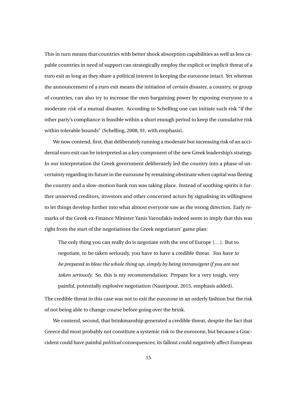This in turn means that countries with better shock absorption capabilities as well as less capable countries in need of support can strategically employ the explicit or implicit threat of a euro exit as long as they share a political interest in keeping the eurozone intact. Yet whereas the announcement of a euro exit means the initiation of *certain* disaster, a country, or group of countries, can also try to increase the own bargaining power by exposing everyone to a moderate *risk* of a mutual disaster. According to Schelling one can initiate such risk "if the other party's compliance is feasible within a short enough period to keep the cumulative risk within tolerable bounds" (Schelling, 2008, 91, with emphasis).

We now contend, first, that deliberately running a moderate but increasing risk of an accidental euro exit can be interpreted as a key component of the new Greek leadership's strategy. In our interpretation the Greek government deliberately led the country into a phase of uncertainty regarding its future in the eurozone by remaining obstinate when capital was fleeing the country and a slow-motion bank run was taking place. Instead of soothing spirits it further unnerved creditors, investors and other concerned actors by signalising its willingness to let things develop further into what almost everyone saw as the wrong direction. Early remarks of the Greek ex-Finance Minister Yanis Varoufakis indeed seem to imply that this was right from the start of the negotiations the Greek negotiators' game plan:

The only thing you can really do is negotiate with the rest of Europe [. . . ]. But to negotiate, to be taken seriously, you have to have a credible threat. *You have to be prepared to blow the whole thing up, simply by being intransigent if you are not taken seriously.* So, this is my recommendation: Prepare for a very tough, very painful, potentially explosive negotiation (Nasiripour, 2015, emphasis added).

The credible threat in this case was not to exit the eurozone in an orderly fashion but the risk of not being able to change course before going over the brink.

We contend, second, that brinkmanship generated a credible threat, despite the fact that Greece did most probably not constitute a systemic risk to the eurozone, but because a Graccident could have painful *political* consequences; its fallout could negatively affect European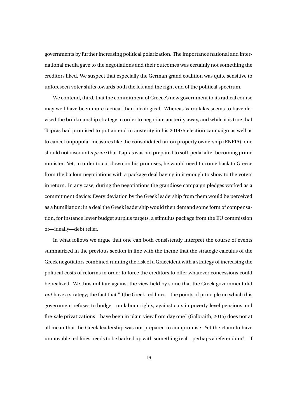governments by further increasing political polarization. The importance national and international media gave to the negotiations and their outcomes was certainly not something the creditors liked. We suspect that especially the German grand coalition was quite sensitive to unforeseen voter shifts towards both the left and the right end of the political spectrum.

We contend, third, that the commitment of Greece's new government to its radical course may well have been more tactical than ideological. Whereas Varoufakis seems to have devised the brinkmanship strategy in order to negotiate austerity away, and while it is true that Tsipras had promised to put an end to austerity in his 2014/5 election campaign as well as to cancel unpopular measures like the consolidated tax on property ownership (ENFIA), one should not discount *a priori* that Tsipras was not prepared to soft-pedal after becoming prime minister. Yet, in order to cut down on his promises, he would need to come back to Greece from the bailout negotiations with a package deal having in it enough to show to the voters in return. In any case, during the negotiations the grandiose campaign pledges worked as a commitment device: Every deviation by the Greek leadership from them would be perceived as a humiliation; in a deal the Greek leadership would then demand some form of compensation, for instance lower budget surplus targets, a stimulus package from the EU commission or—ideally—debt relief.

In what follows we argue that one can both consistently interpret the course of events summarized in the previous section in line with the theme that the strategic calculus of the Greek negotiators combined running the risk of a Graccident with a strategy of increasing the political costs of reforms in order to force the creditors to offer whatever concessions could be realized. We thus militate against the view held by some that the Greek government did *not* have a strategy; the fact that "[t]he Greek red lines—the points of principle on which this government refuses to budge—on labour rights, against cuts in poverty-level pensions and fire-sale privatizations—have been in plain view from day one" (Galbraith, 2015) does not at all mean that the Greek leadership was not prepared to compromise. Yet the claim to have unmovable red lines needs to be backed up with something real—perhaps a referendum?—if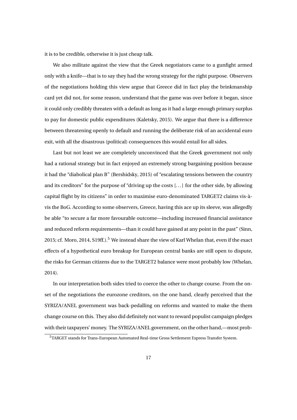it is to be credible, otherwise it is just cheap talk.

We also militate against the view that the Greek negotiators came to a gunfight armed only with a knife—that is to say they had the wrong strategy for the right purpose. Observers of the negotiations holding this view argue that Greece did in fact play the brinkmanship card yet did not, for some reason, understand that the game was over before it began, since it could only credibly threaten with a default as long as it had a large enough primary surplus to pay for domestic public expenditures (Kaletsky, 2015). We argue that there is a difference between threatening openly to default and running the deliberate risk of an accidental euro exit, with all the disastrous (political) consequences this would entail for all sides.

Last but not least we are completely unconvinced that the Greek government not only had a rational strategy but in fact enjoyed an extremely strong bargaining position because it had the "diabolical plan B" (Bershidsky, 2015) of "escalating tensions between the country and its creditors" for the purpose of "driving up the costs [. . . ] for the other side, by allowing capital flight by its citizens" in order to maximise euro-denominated TARGET2 claims vis-àvis the BoG. According to some observers, Greece, having this ace up its sleeve, was allegedly be able "to secure a far more favourable outcome—including increased financial assistance and reduced reform requirements—than it could have gained at any point in the past" (Sinn, 2015; cf. Moro, 2014, S19ff.).<sup>5</sup> We instead share the view of Karl Whelan that, even if the exact effects of a hypothetical euro breakup for European central banks are still open to dispute, the risks for German citizens due to the TARGET2 balance were most probably low (Whelan, 2014).

In our interpretation both sides tried to coerce the other to change course. From the onset of the negotiations the eurozone creditors, on the one hand, clearly perceived that the SYRIZA/ANEL government was back-pedalling on reforms and wanted to make the them change course on this. They also did definitely not want to reward populist campaign pledges with their taxpayers' money. The SYRIZA/ANEL government, on the other hand,—most prob-

<sup>5</sup>TARGET stands for Trans-European Automated Real-time Gross Settlement Express Transfer System.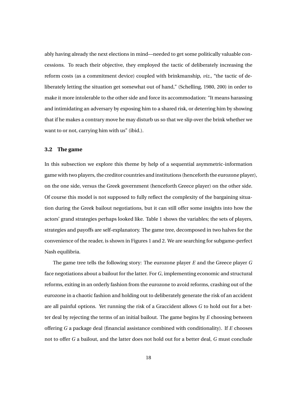ably having already the next elections in mind—needed to get some politically valuable concessions. To reach their objective, they employed the tactic of deliberately increasing the reform costs (as a commitment device) coupled with brinkmanship, *viz.*, "the tactic of deliberately letting the situation get somewhat out of hand," (Schelling, 1980, 200) in order to make it more intolerable to the other side and force its accommodation: "It means harassing and intimidating an adversary by exposing him to a shared risk, or deterring him by showing that if he makes a contrary move he may disturb us so that we slip over the brink whether we want to or not, carrying him with us" (ibid.).

#### **3.2 The game**

In this subsection we explore this theme by help of a sequential asymmetric-information game with two players, the creditor countries and institutions (henceforth the eurozone player), on the one side, versus the Greek government (henceforth Greece player) on the other side. Of course this model is not supposed to fully reflect the complexity of the bargaining situation during the Greek bailout negotiations, but it can still offer some insights into how the actors' grand strategies perhaps looked like. Table 1 shows the variables; the sets of players, strategies and payoffs are self-explanatory. The game tree, decomposed in two halves for the convenience of the reader, is shown in Figures 1 and 2. We are searching for subgame-perfect Nash equilibria.

The game tree tells the following story: The eurozone player *E* and the Greece player *G* face negotiations about a bailout for the latter. For *G*, implementing economic and structural reforms, exiting in an orderly fashion from the eurozone to avoid reforms, crashing out of the eurozone in a chaotic fashion and holding out to deliberately generate the risk of an accident are all painful options. Yet running the risk of a Graccident allows *G* to hold out for a better deal by rejecting the terms of an initial bailout. The game begins by *E* choosing between offering *G* a package deal (financial assistance combined with conditionality). If *E* chooses not to offer *G* a bailout, and the latter does not hold out for a better deal, *G* must conclude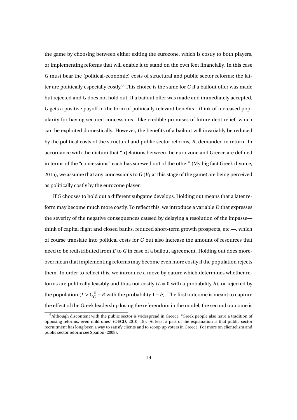the game by choosing between either exiting the eurozone, which is costly to both players, or implementing reforms that will enable it to stand on the own feet financially. In this case *G* must bear the (political-economic) costs of structural and public sector reforms; the latter are politically especially costly.<sup>6</sup> This choice is the same for *G* if a bailout offer was made but rejected and *G* does not hold out. If a bailout offer was made and immediately accepted, *G* gets a positive payoff in the form of politically relevant benefits—think of increased popularity for having secured concessions—like credible promises of future debt relief, which can be exploited domestically. However, the benefits of a bailout will invariably be reduced by the political costs of the structural and public sector reforms, *R*, demanded in return. In accordance with the dictum that "[r]elations between the euro zone and Greece are defined in terms of the "concessions" each has screwed out of the other" (My big fact Greek divorce, 2015), we assume that any concessions to *G* (*V*<sup>1</sup> at this stage of the game) are being perceived as politically costly by the eurozone player.

If *G* chooses to hold out a different subgame develops. Holding out means that a later reform may become much more costly. To reflect this, we introduce a variable *D* that expresses the severity of the negative consequences caused by delaying a resolution of the impasse think of capital flight and closed banks, reduced short-term growth prospects, etc.—, which of course translate into political costs for *G* but also increase the amount of resources that need to be redistributed from *E* to *G* in case of a bailout agreement. Holding out does moreover mean that implementing reforms may become even more costly if the population rejects them. In order to reflect this, we introduce a move by nature which determines whether reforms are politically feasibly and thus not costly  $(L = 0$  with a probability *h*), or rejected by the population ( $L > C_G^X - R$  with the probability  $1 - h$ ). The first outcome is meant to capture the effect of the Greek leadership losing the referendum in the model, the second outcome is

<sup>&</sup>lt;sup>6</sup>Although discontent with the public sector is widespread in Greece, "Greek people also have a tradition of opposing reforms, even mild ones" (OECD, 2010, 19). At least a part of the explanation is that public sector recruitment has long been a way to satisfy clients and to scoop up voters in Greece. For more on clientelism and public sector reform see Spanou (2008).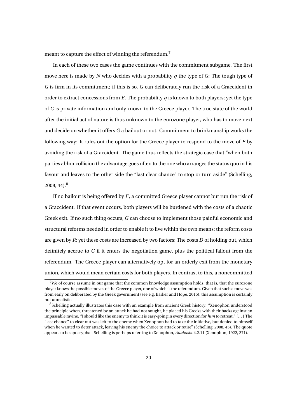meant to capture the effect of winning the referendum.<sup>7</sup>

In each of these two cases the game continues with the commitment subgame. The first move here is made by *N* who decides with a probability *q* the type of *G*: The tough type of *G* is firm in its commitment; if this is so, *G* can deliberately run the risk of a Graccident in order to extract concessions from  $E$ . The probability  $q$  is known to both players; yet the type of *G* is private information and only known to the Greece player. The true state of the world after the initial act of nature is thus unknown to the eurozone player, who has to move next and decide on whether it offers *G* a bailout or not. Commitment to brinkmanship works the following way: It rules out the option for the Greece player to respond to the move of *E* by avoiding the risk of a Graccident. The game thus reflects the strategic case that "when both parties abhor collision the advantage goes often to the one who arranges the status quo in his favour and leaves to the other side the "last clear chance" to stop or turn aside" (Schelling,  $2008, 44$ ).<sup>8</sup>

If no bailout is being offered by *E*, a committed Greece player cannot but run the risk of a Graccident. If that event occurs, both players will be burdened with the costs of a chaotic Greek exit. If no such thing occurs, *G* can choose to implement those painful economic and structural reforms needed in order to enable it to live within the own means; the reform costs are given by *R*; yet these costs are increased by two factors: The costs *D* of holding out, which definitely accrue to *G* if it enters the negotiation game, plus the political fallout from the referendum. The Greece player can alternatively opt for an orderly exit from the monetary union, which would mean certain costs for both players. In contrast to this, a noncommitted

 $7$ We of course assume in our game that the common knowledge assumption holds, that is, that the eurozone player knows the possible moves of the Greece player, one of which is the referendum. Given that such a move was from early on deliberated by the Greek government (see e.g. Barker and Hope, 2015), this assumption is certainly not unrealistic.

<sup>8</sup>Schelling actually illustrates this case with an example from ancient Greek history: "Xenophon understood the principle when, threatened by an attack he had not sought, he placed his Greeks with their backs against an impassable ravine. "I should like the enemy to think it is easy-going in every direction for *him* to retreat." [. . . ] The "last chance" to clear out was left to the enemy when Xenophon had to take the initiative, but denied to himself when he wanted to deter attack, leaving his enemy the choice to attack or retire" (Schelling, 2008, 45). The quote appears to be apocryphal. Schelling is perhaps referring to Xenophon, *Anabasis*, 4.2.11 (Xenophon, 1922, 271).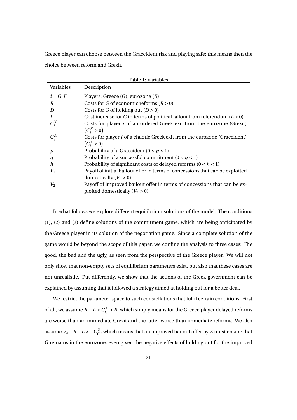Greece player can choose between the Graccident risk and playing safe; this means then the choice between reform and Grexit.

| Table 1: Variables |                                                                                  |
|--------------------|----------------------------------------------------------------------------------|
| Variables          | Description                                                                      |
| $i = G, E$         | Players: Greece $(G)$ , eurozone $(E)$                                           |
| R                  | Costs for G of economic reforms $(R > 0)$                                        |
| D                  | Costs for G of holding out $(D > 0)$                                             |
|                    | Cost increase for G in terms of political fallout from referendum $(L > 0)$      |
| $C_i^X$            | Costs for player <i>i</i> of an ordered Greek exit from the eurozone (Grexit)    |
|                    | $(C_i^X > 0)$                                                                    |
| $C_i^A$            | Costs for player <i>i</i> of a chaotic Greek exit from the eurozone (Graccident) |
|                    | $(C_i^A > 0)$                                                                    |
| р                  | Probability of a Graccident ( $0 < p < 1$ )                                      |
| q                  | Probability of a successful commitment $(0 < q < 1)$                             |
| h                  | Probability of significant costs of delayed reforms $(0 < h < 1)$                |
| $V_1$              | Payoff of initial bailout offer in terms of concessions that can be exploited    |
|                    | domestically $(V_1 > 0)$                                                         |
| $V_2$              | Payoff of improved bailout offer in terms of concessions that can be ex-         |
|                    | ploited domestically $(V_2 > 0)$                                                 |

In what follows we explore different equilibrium solutions of the model. The conditions (1), (2) and (3) define solutions of the commitment game, which are being anticipated by the Greece player in its solution of the negotiation game. Since a complete solution of the game would be beyond the scope of this paper, we confine the analysis to three cases: The good, the bad and the ugly, as seen from the perspective of the Greece player. We will not only show that non-empty sets of equilibrium parameters exist, but also that these cases are not unrealistic. Put differently, we show that the actions of the Greek government can be explained by assuming that it followed a strategy aimed at holding out for a better deal.

We restrict the parameter space to such constellations that fulfil certain conditions: First of all, we assume  $R + L > C_G^X > R$ , which simply means for the Greece player delayed reforms are worse than an immediate Grexit and the latter worse than immediate reforms. We also assume  $V_2 - R - L > -C_G^X$ , which means that an improved bailout offer by *E* must ensure that *G* remains in the eurozone, even given the negative effects of holding out for the improved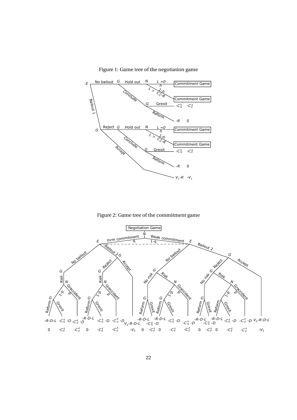Figure 1: Game tree of the negotiation game



Figure 2: Game tree of the commitment game

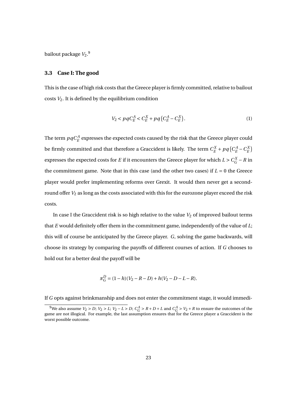bailout package  $V_2$ .<sup>9</sup>

#### **3.3 Case I: The good**

This is the case of high risk costs that the Greece player is firmly committed, relative to bailout costs *V*2. It is defined by the equilibrium condition

$$
V_2 < pqC_E^A < C_E^X + pq\left(C_E^A - C_E^X\right). \tag{1}
$$

The term  $pqC_{E}^{A}$  expresses the expected costs caused by the risk that the Greece player could be firmly committed and that therefore a Graccident is likely. The term  $C_E^X + pq(C_E^A - C_E^X)$ expresses the expected costs for *E* if it encounters the Greece player for which  $L > C_G^X - R$  in the commitment game. Note that in this case (and the other two cases) if  $L = 0$  the Greece player would prefer implementing reforms over Grexit. It would then never get a secondround offer  $V_2$  as long as the costs associated with this for the eurozone player exceed the risk costs.

In case I the Graccident risk is so high relative to the value  $V_2$  of improved bailout terms that *E* would definitely offer them in the commitment game, independently of the value of *L*; this will of course be anticipated by the Greece player. *G*, solving the game backwards, will choose its strategy by comparing the payoffs of different courses of action. If *G* chooses to hold out for a better deal the payoff will be

$$
\pi_G^D = (1 - h)(V_2 - R - D) + h(V_2 - D - L - R).
$$

If *G* opts against brinkmanship and does not enter the commitment stage, it would immedi-

<sup>&</sup>lt;sup>9</sup>We also assume  $V_2 > D$ ;  $V_2 > L$ ;  $V_2 - L > D$ ;  $C_G^A > R + D + L$  and  $C_G^A > V_2 + R$  to ensure the outcomes of the game are not illogical. For example, the last assumption ensures that for the Greece player a Graccident is the worst possible outcome.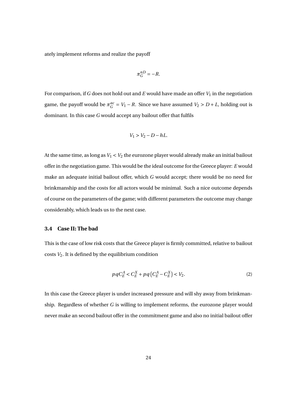ately implement reforms and realize the payoff

$$
\pi_G^{nD} = -R.
$$

For comparison, if *G* does not hold out and *E* would have made an offer  $V_1$  in the negotiation game, the payoff would be  $\pi_G^{ac} = V_1 - R$ . Since we have assumed  $V_2 > D + L$ , holding out is dominant. In this case *G* would accept any bailout offer that fulfils

$$
V_1 > V_2 - D - hL.
$$

At the same time, as long as  $V_1 < V_2$  the eurozone player would already make an initial bailout offer in the negotiation game. This would be the ideal outcome for the Greece player: *E* would make an adequate initial bailout offer, which *G* would accept; there would be no need for brinkmanship and the costs for all actors would be minimal. Such a nice outcome depends of course on the parameters of the game; with different parameters the outcome may change considerably, which leads us to the next case.

#### **3.4 Case II: The bad**

This is the case of low risk costs that the Greece player is firmly committed, relative to bailout costs  $V_2$ . It is defined by the equilibrium condition

$$
pqC_E^A < C_E^X + pq(C_E^A - C_E^X) < V_2.
$$
 (2)

In this case the Greece player is under increased pressure and will shy away from brinkmanship. Regardless of whether *G* is willing to implement reforms, the eurozone player would never make an second bailout offer in the commitment game and also no initial bailout offer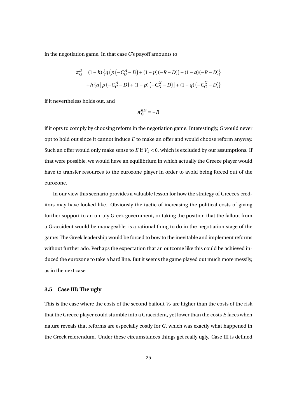in the negotiation game. In that case *G*'s payoff amounts to

$$
\pi_G^D = (1 - h) \{ q \left( p \left( -C_G^A - D \right) + (1 - p)(-R - D) \right) + (1 - q)(-R - D) \}
$$

$$
+ h \{ q \left[ p \left( -C_G^A - D \right) + (1 - p) \left( -C_G^X - D \right) \right] + (1 - q) \left( -C_G^X - D \right) \}
$$

if it nevertheless holds out, and

$$
\pi_G^{nD}=-R
$$

if it opts to comply by choosing reform in the negotiation game. Interestingly, *G* would never opt to hold out since it cannot induce *E* to make an offer and would choose reform anyway. Such an offer would only make sense to  $E$  if  $V_1 < 0$ , which is excluded by our assumptions. If that were possible, we would have an equilibrium in which actually the Greece player would have to transfer resources to the eurozone player in order to avoid being forced out of the eurozone.

In our view this scenario provides a valuable lesson for how the strategy of Greece's creditors may have looked like. Obviously the tactic of increasing the political costs of giving further support to an unruly Greek government, or taking the position that the fallout from a Graccident would be manageable, is a rational thing to do in the negotiation stage of the game: The Greek leadership would be forced to bow to the inevitable and implement reforms without further ado. Perhaps the expectation that an outcome like this could be achieved induced the eurozone to take a hard line. But it seems the game played out much more messily, as in the next case.

#### **3.5 Case III: The ugly**

This is the case where the costs of the second bailout  $V_2$  are higher than the costs of the risk that the Greece player could stumble into a Graccident, yet lower than the costs *E* faces when nature reveals that reforms are especially costly for *G*, which was exactly what happened in the Greek referendum. Under these circumstances things get really ugly. Case III is defined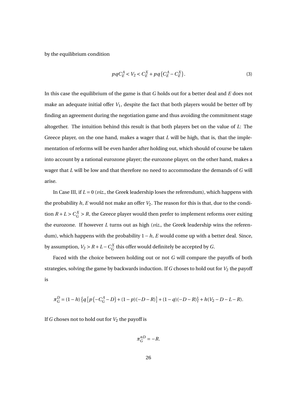by the equilibrium condition

$$
pqC_E^A < V_2 < C_E^X + pq\left(C_E^A - C_E^X\right). \tag{3}
$$

In this case the equilibrium of the game is that *G* holds out for a better deal and *E* does not make an adequate initial offer *V*1, despite the fact that both players would be better off by finding an agreement during the negotiation game and thus avoiding the commitment stage altogether. The intuition behind this result is that both players bet on the value of *L*: The Greece player, on the one hand, makes a wager that *L* will be high, that is, that the implementation of reforms will be even harder after holding out, which should of course be taken into account by a rational eurozone player; the eurozone player, on the other hand, makes a wager that *L* will be low and that therefore no need to accommodate the demands of *G* will arise.

In Case III, if *L* = 0 (*viz.*, the Greek leadership loses the referendum), which happens with the probability  $h$ ,  $E$  would not make an offer  $V_2$ . The reason for this is that, due to the condition  $R + L > C_G^X > R$ , the Greece player would then prefer to implement reforms over exiting the eurozone. If however *L* turns out as high (*viz.*, the Greek leadership wins the referendum), which happens with the probability 1−*h*, *E* would come up with a better deal. Since, by assumption,  $V_2 > R + L - C_G^X$  this offer would definitely be accepted by *G*.

Faced with the choice between holding out or not *G* will compare the payoffs of both strategies, solving the game by backwards induction. If *G* choses to hold out for  $V_2$  the payoff is

$$
\pi_G^D = (1-h)\left\{q\left[p\left(-C_G^A - D\right) + (1-p)(-D-R)\right] + (1-q)(-D-R)\right\} + h(V_2 - D - L - R).
$$

If *G* choses not to hold out for  $V_2$  the payoff is

$$
\pi_G^{nD} = -R.
$$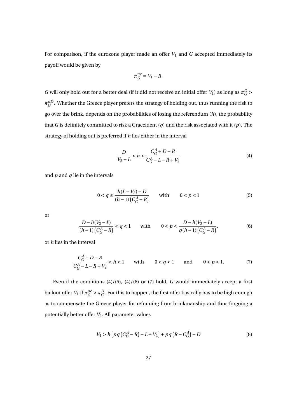For comparison, if the eurozone player made an offer *V*<sup>1</sup> and *G* accepted immediately its payoff would be given by

$$
\pi_G^{ac} = V_1 - R.
$$

*G* will only hold out for a better deal (if it did not receive an initial offer *V*<sub>1</sub>) as long as  $\pi_G^D$  >  $\pi_G^{nD}$ . Whether the Greece player prefers the strategy of holding out, thus running the risk to go over the brink, depends on the probabilities of losing the referendum (*h*), the probability that *G* is definitely committed to risk a Graccident (*q*) and the risk associated with it (*p*). The strategy of holding out is preferred if *h* lies either in the interval

$$
\frac{D}{V_2 - L} < h < \frac{C_G^A + D - R}{C_G^A - L - R + V_2} \tag{4}
$$

and *p* and *q* lie in the intervals

$$
0 < q \le \frac{h(L - V_2) + D}{(h - 1)(C_G^A - R)} \quad \text{with} \quad 0 < p < 1 \tag{5}
$$

or

$$
\frac{D - h(V_2 - L)}{(h - 1)\left(C_G^A - R\right)} < q < 1 \qquad \text{with} \qquad 0 < p < \frac{D - h(V_2 - L)}{q(h - 1)\left(C_G^A - R\right)},\tag{6}
$$

or *h* lies in the interval

$$
\frac{C_G^A + D - R}{C_G^A - L - R + V_2} < h < 1 \quad \text{with} \quad 0 < q < 1 \quad \text{and} \quad 0 < p < 1. \tag{7}
$$

Even if the conditions (4)/(5), (4)/(6) or (7) hold, *G* would immediately accept a first bailout offer *V*<sub>1</sub> if  $\pi_G^{ac} > \pi_G^D$ . For this to happen, the first offer basically has to be high enough as to compensate the Greece player for refraining from brinkmanship and thus forgoing a potentially better offer *V*2. All parameter values

$$
V_1 > h \left[ pq \left( C_G^A - R \right) - L + V_2 \right] + pq \left( R - C_G^A \right) - D \tag{8}
$$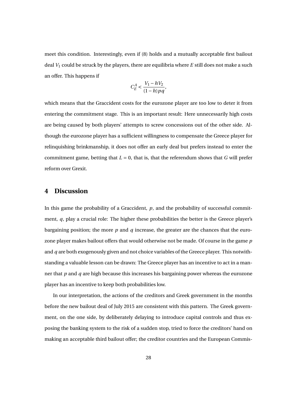meet this condition. Interestingly, even if (8) holds and a mutually acceptable first bailout deal *V*<sup>1</sup> could be struck by the players, there are equilibria where *E* still does not make a such an offer. This happens if

$$
C_E^A < \frac{V_1 - hV_2}{(1 - h)pq},
$$

which means that the Graccident costs for the eurozone player are too low to deter it from entering the commitment stage. This is an important result: Here unnecessarily high costs are being caused by both players' attempts to screw concessions out of the other side. Although the eurozone player has a sufficient willingness to compensate the Greece player for relinquishing brinkmanship, it does not offer an early deal but prefers instead to enter the commitment game, betting that  $L = 0$ , that is, that the referendum shows that *G* will prefer reform over Grexit.

## **4 Discussion**

In this game the probability of a Graccident, *p*, and the probability of successful commitment, *q*, play a crucial role: The higher these probabilities the better is the Greece player's bargaining position; the more *p* and *q* increase, the greater are the chances that the eurozone player makes bailout offers that would otherwise not be made. Of course in the game *p* and *q* are both exogenously given and not choice variables of the Greece player. This notwithstanding a valuable lesson can be drawn: The Greece player has an incentive to act in a manner that *p* and *q* are high because this increases his bargaining power whereas the eurozone player has an incentive to keep both probabilities low.

In our interpretation, the actions of the creditors and Greek government in the months before the new bailout deal of July 2015 are consistent with this pattern. The Greek government, on the one side, by deliberately delaying to introduce capital controls and thus exposing the banking system to the risk of a sudden stop, tried to force the creditors' hand on making an acceptable third bailout offer; the creditor countries and the European Commis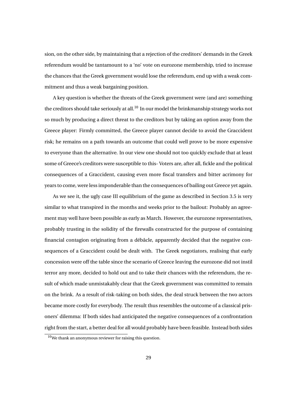sion, on the other side, by maintaining that a rejection of the creditors' demands in the Greek referendum would be tantamount to a 'no' vote on eurozone membership, tried to increase the chances that the Greek government would lose the referendum, end up with a weak commitment and thus a weak bargaining position.

A key question is whether the threats of the Greek government were (and are) something the creditors should take seriously at all.<sup>10</sup> In our model the brinkmanship strategy works not so much by producing a direct threat to the creditors but by taking an option away from the Greece player: Firmly committed, the Greece player cannot decide to avoid the Graccident risk; he remains on a path towards an outcome that could well prove to be more expensive to everyone than the alternative. In our view one should not too quickly exclude that at least some of Greece's creditors were susceptible to this- Voters are, after all, fickle and the political consequences of a Graccident, causing even more fiscal transfers and bitter acrimony for years to come, were less imponderable than the consequences of bailing out Greece yet again.

As we see it, the ugly case III equilibrium of the game as described in Section 3.5 is very similar to what transpired in the months and weeks prior to the bailout: Probably an agreement may well have been possible as early as March. However, the eurozone representatives, probably trusting in the solidity of the firewalls constructed for the purpose of containing financial contagion originating from a débâcle, apparently decided that the negative consequences of a Graccident could be dealt with. The Greek negotiators, realising that early concession were off the table since the scenario of Greece leaving the eurozone did not instil terror any more, decided to hold out and to take their chances with the referendum, the result of which made unmistakably clear that the Greek government was committed to remain on the brink. As a result of risk-taking on both sides, the deal struck between the two actors became more costly for everybody. The result thus resembles the outcome of a classical prisoners' dilemma: If both sides had anticipated the negative consequences of a confrontation right from the start, a better deal for all would probably have been feasible. Instead both sides

<sup>10</sup>We thank an anonymous reviewer for raising this question.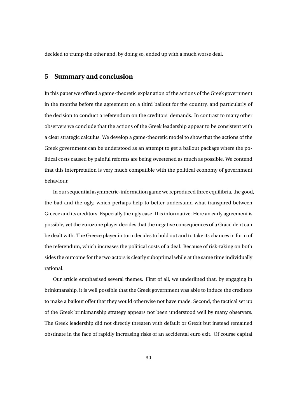decided to trump the other and, by doing so, ended up with a much worse deal.

## **5 Summary and conclusion**

In this paper we offered a game-theoretic explanation of the actions of the Greek government in the months before the agreement on a third bailout for the country, and particularly of the decision to conduct a referendum on the creditors' demands. In contrast to many other observers we conclude that the actions of the Greek leadership appear to be consistent with a clear strategic calculus. We develop a game-theoretic model to show that the actions of the Greek government can be understood as an attempt to get a bailout package where the political costs caused by painful reforms are being sweetened as much as possible. We contend that this interpretation is very much compatible with the political economy of government behaviour.

In our sequential asymmetric-information game we reproduced three equilibria, the good, the bad and the ugly, which perhaps help to better understand what transpired between Greece and its creditors. Especially the ugly case III is informative: Here an early agreement is possible, yet the eurozone player decides that the negative consequences of a Graccident can be dealt with. The Greece player in turn decides to hold out and to take its chances in form of the referendum, which increases the political costs of a deal. Because of risk-taking on both sides the outcome for the two actors is clearly suboptimal while at the same time individually rational.

Our article emphasised several themes. First of all, we underlined that, by engaging in brinkmanship, it is well possible that the Greek government was able to induce the creditors to make a bailout offer that they would otherwise not have made. Second, the tactical set up of the Greek brinkmanship strategy appears not been understood well by many observers. The Greek leadership did not directly threaten with default or Grexit but instead remained obstinate in the face of rapidly increasing risks of an accidental euro exit. Of course capital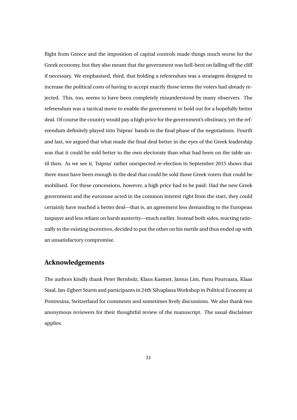flight from Greece and the imposition of capital controls made things much worse for the Greek economy, but they also meant that the government was hell-bent on falling off the cliff if necessary. We emphasised, third, that holding a referendum was a stratagem designed to increase the political costs of having to accept exactly those terms the voters had already rejected. This, too, seems to have been completely misunderstood by many observers. The referendum was a tactical move to enable the government to hold out for a hopefully better deal. Of course the country would pay a high price for the government's obstinacy, yet the referendum definitely played into Tsipras' hands in the final phase of the negotiations. Fourth and last, we argued that what made the final deal better in the eyes of the Greek leadership was that it could be sold better to the own electorate than what had been on the table until then. As we see it, Tsipras' rather unexpected re-election in September 2015 shows that there must have been enough in the deal that could be sold those Greek voters that could be mobilised. For these concessions, however, a high price had to be paid: Had the new Greek government and the eurozone acted in the common interest right from the start, they could certainly have reached a better deal—that is, an agreement less demanding to the European taxpayer and less reliant on harsh austerity—much earlier. Instead both sides, reacting rationally to the existing incentives, decided to put the other on his mettle and thus ended up with an unsatisfactory compromise.

## **Acknowledgements**

The authors kindly thank Peter Bernholz, Klaus Kastner, Jamus Lim, Panu Poutvaara, Klaas Staal, Jan-Egbert Sturm and participants in 24th Silvaplana Workshop in Political Economy at Pontresina, Switzerland for comments and sometimes lively discussions. We also thank two anonymous reviewers for their thoughtful review of the manuscript. The usual disclaimer applies.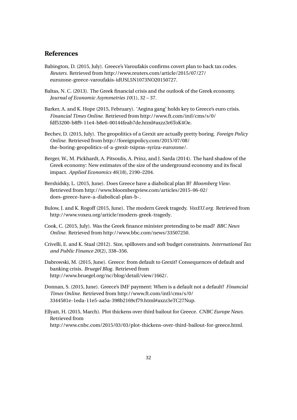## **References**

- Babington, D. (2015, July). Greece's Varoufakis confirms covert plan to hack tax codes. *Reuters*. Retrieved from http://www.reuters.com/article/2015/07/27/ eurozone-greece-varoufakis-idUSL5N1073NO20150727.
- Baltas, N. C. (2013). The Greek financial crisis and the outlook of the Greek economy. *Journal of Economic Asymmetries 10*(1), 32 – 37.
- Barker, A. and K. Hope (2015, February). 'Aegina gang' holds key to Greece's euro crisis. *Financial Times Online*. Retrieved from http://www.ft.com/intl/cms/s/0/ fdf53200-b8f9-11e4-b8e6-00144feab7de.html#axzz3r6ToK4Oe.
- Bechev, D. (2015, July). The geopolitics of a Grexit are actually pretty boring. *Foreign Policy Online*. Retrieved from http://foreignpolicy.com/2015/07/08/ the-boring-geopolitics-of-a-grexit-tsipras-syriza-eurozone/.
- Berger, W., M. Pickhardt, A. Pitsoulis, A. Prinz, and J. Sarda (2014). The hard shadow of the Greek economy: New estimates of the size of the underground economy and its fiscal impact. *Applied Economics 46*(18), 2190–2204.
- Bershidsky, L. (2015, June). Does Greece have a diabolical plan B? *Bloomberg View*. Retrieved from http://www.bloombergview.com/articles/2015-06-02/ does-greece-have-a-diabolical-plan-b-.
- Bulow, J. and K. Rogoff (2015, June). The modern Greek tragedy. *VoxEU.org*. Retrieved from http://www.voxeu.org/article/modern-greek-tragedy.
- Cook, C. (2015, July). Was the Greek finance minister pretending to be mad? *BBC News Online*. Retrieved from http://www.bbc.com/news/33507250.
- Crivelli, E. and K. Staal (2012). Size, spillovers and soft budget constraints. *International Tax and Public Finance 20*(2), 338–356.
- Dabrowski, M. (2015, June). Greece: from default to Grexit? Consequences of default and banking crisis. *Bruegel Blog*. Retrieved from http://www.bruegel.org/nc/blog/detail/view/1662/.
- Donnan, S. (2015, June). Greece's IMF payment: When is a default not a default? *Financial Times Online*. Retrieved from http://www.ft.com/intl/cms/s/0/ 3344581e-1eda-11e5-aa5a-398b2169cf79.html#axzz3eTC27Nup.
- Ellyatt, H. (2015, March). Plot thickens over third bailout for Greece. *CNBC Europe News*. Retrieved from http://www.cnbc.com/2015/03/03/plot-thickens-over-third-bailout-for-greece.html.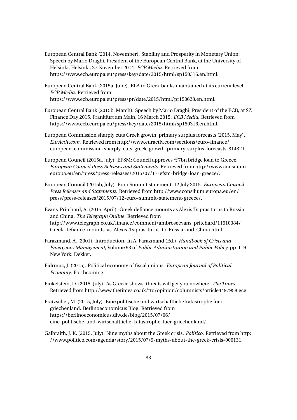- European Central Bank (2014, November). Stability and Prosperity in Monetary Union: Speech by Mario Draghi, President of the European Central Bank, at the University of Helsinki, Helsinki, 27 November 2014. *ECB Media*. Retrieved from https://www.ecb.europa.eu/press/key/date/2015/html/sp150316.en.html.
- European Central Bank (2015a, June). ELA to Greek banks maintained at its current level. *ECB Media*. Retrieved from https://www.ecb.europa.eu/press/pr/date/2015/html/pr150628.en.html.
- European Central Bank (2015b, March). Speech by Mario Draghi, President of the ECB, at SZ Finance Day 2015, Frankfurt am Main, 16 March 2015. *ECB Media*. Retrieved from https://www.ecb.europa.eu/press/key/date/2015/html/sp150316.en.html.
- European Commission sharply cuts Greek growth, primary surplus forecasts (2015, May). *EurActiv.com*. Retrieved from http://www.euractiv.com/sections/euro-finance/ european-commission-sharply-cuts-greek-growth-primary-surplus-forecasts-314321.
- European Council (2015a, July). EFSM: Council approves  $\in$  7bn bridge loan to Greece. *European Council Press Releases and Statements*. Retrieved from http://www.consilium. europa.eu/en/press/press-releases/2015/07/17-efsm-bridge-loan-greece/.
- European Council (2015b, July). Euro Summit statement, 12 July 2015. *European Council Press Releases and Statements*. Retrieved from http://www.consilium.europa.eu/en/ press/press-releases/2015/07/12-euro-summit-statement-greece/.
- Evans-Pritchard, A. (2015, April). Greek defiance mounts as Alexis Tsipras turns to Russia and China. *The Telegraph Online*. Retrieved from http://www.telegraph.co.uk/finance/comment/ambroseevans\_pritchard/11510384/ Greek-defiance-mounts-as-Alexis-Tsipras-turns-to-Russia-and-China.html.
- Farazmand, A. (2001). Introduction. In A. Farazmand (Ed.), *Handbook of Crisis and Emergency Management*, Volume 93 of *Public Administration and Public Policy*, pp. 1–9. New York: Dekker.
- Fidrmuc, J. (2015). Political economy of fiscal unions. *European Journal of Political Economy*. Forthcoming.
- Finkelstein, D. (2015, July). As Greece shows, threats will get you nowhere. *The Times*. Retrieved from http://www.thetimes.co.uk/tto/opinion/columnists/article4497958.ece.
- Fratzscher, M. (2015, July). Eine politische und wirtschaftliche katastrophe fuer griechenland. Berlinoeconomicus Blog. Retrieved from https://berlinoeconomicus.diw.de/blog/2015/07/06/ eine-politische-und-wirtschaftliche-katastrophe-fuer-griechenland/.
- Galbraith, J. K. (2015, July). Nine myths about the Greek crisis. *Politico*. Retrieved from http: //www.politico.com/agenda/story/2015/07/9-myths-about-the-greek-crisis-000131.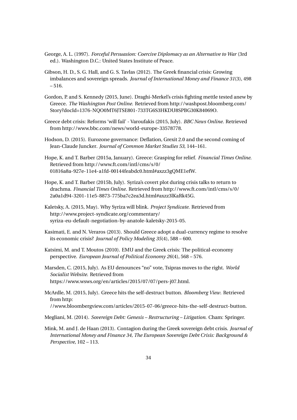- George, A. L. (1997). *Forceful Persuasion: Coercive Diplomacy as an Alternative to War* (3rd ed.). Washington D.C.: United States Institute of Peace.
- Gibson, H. D., S. G. Hall, and G. S. Tavlas (2012). The Greek financial crisis: Growing imbalances and sovereign spreads. *Journal of International Money and Finance 31*(3), 498 – 516.
- Gordon, P. and S. Kennedy (2015, June). Draghi-Merkel's crisis fighting mettle tested anew by Greece. *The Washington Post Online*. Retrieved from http://washpost.bloomberg.com/ Story?docId=1376-NQO0MT6JTSE801-733TG6S3HKDU8SPBG30K84069O.
- Greece debt crisis: Reforms 'will fail' Varoufakis (2015, July). *BBC News Online*. Retrieved from http://www.bbc.com/news/world-europe-33578778.
- Hodson, D. (2015). Eurozone governance: Deflation, Grexit 2.0 and the second coming of Jean-Claude Juncker. *Journal of Common Market Studies 53*, 144–161.
- Hope, K. and T. Barber (2015a, January). Greece: Grasping for relief. *Financial Times Online*. Retrieved from http://www.ft.com/intl/cms/s/0/ 01816a8a-927e-11e4-a1fd-00144feabdc0.html#axzz3gQME1efW.
- Hope, K. and T. Barber (2015b, July). Syriza's covert plot during crisis talks to return to drachma. *Financial Times Online*. Retrieved from http://www.ft.com/intl/cms/s/0/ 2a0a1d94-3201-11e5-8873-775ba7c2ea3d.html#axzz3lKaRk45G.
- Kaletsky, A. (2015, May). Why Syriza will blink. *Project Syndicate*. Retrieved from http://www.project-syndicate.org/commentary/ syriza-eu-default-negotiation-by-anatole-kaletsky-2015-05.
- Kasimati, E. and N. Veraros (2013). Should Greece adopt a dual-currency regime to resolve its economic crisis? *Journal of Policy Modeling 35*(4), 588 – 600.
- Katsimi, M. and T. Moutos (2010). EMU and the Greek crisis: The political-economy perspective. *European Journal of Political Economy 26*(4), 568 – 576.
- Marsden, C. (2015, July). As EU denounces "no" vote, Tsipras moves to the right. *World Socialist Website*. Retrieved from https://www.wsws.org/en/articles/2015/07/07/pers-j07.html.
- McArdle, M. (2015, July). Greece hits the self-destruct button. *Bloomberg View*. Retrieved from http:
	- //www.bloombergview.com/articles/2015-07-06/greece-hits-the-self-destruct-button.
- Megliani, M. (2014). *Sovereign Debt: Genesis Restructuring Litigation*. Cham: Springer.
- Mink, M. and J. de Haan (2013). Contagion during the Greek sovereign debt crisis. *Journal of International Money and Finance 34, The European Sovereign Debt Crisis: Background & Perspective*, 102 – 113.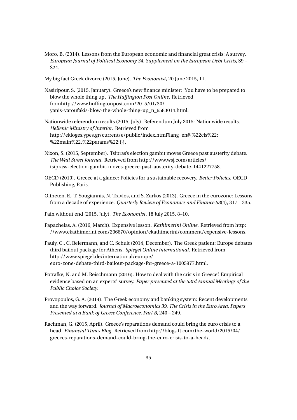Moro, B. (2014). Lessons from the European economic and financial great crisis: A survey. *European Journal of Political Economy 34, Supplement on the European Debt Crisis*, S9 – S24.

My big fact Greek divorce (2015, June). *The Economist*, 20 June 2015, 11.

- Nasiripour, S. (2015, January). Greece's new finance minister: 'You have to be prepared to blow the whole thing up'. *The Huffington Post Online*. Retrieved fromhttp://www.huffingtonpost.com/2015/01/30/ yanis-varoufakis-blow-the-whole-thing-up\_n\_6583014.html.
- Nationwide referendum results (2015, July). Referendum July 2015: Nationwide results. *Hellenic Ministry of Interior*. Retrieved from http://ekloges.ypes.gr/current/e/public/index.html?lang=en#{%22cls%22: %22main%22,%22params%22:{}}.
- Nixon, S. (2015, September). Tsipras's election gambit moves Greece past austerity debate. *The Wall Street Journal*. Retrieved from http://www.wsj.com/articles/ tsiprass-election-gambit-moves-greece-past-austerity-debate-1441227758.
- OECD (2010). Greece at a glance: Policies for a sustainable recovery. *Better Policies*. OECD Publishing, Paris.
- Oltheten, E., T. Sougiannis, N. Travlos, and S. Zarkos (2013). Greece in the eurozone: Lessons from a decade of experience. *Quarterly Review of Economics and Finance 53*(4), 317 – 335.

Pain without end (2015, July). *The Economist*, 18 July 2015, 8–10.

Papachelas, A. (2016, March). Expensive lesson. *Kathimerini Online*. Retrieved from http: //www.ekathimerini.com/206670/opinion/ekathimerini/comment/expensive-lessons.

- Pauly, C., C. Reiermann, and C. Schult (2014, December). The Greek patient: Europe debates third bailout package for Athens. *Spiegel Online International*. Retrieved from http://www.spiegel.de/international/europe/ euro-zone-debate-third-bailout-package-for-greece-a-1005977.html.
- Potrafke, N. and M. Reischmann (2016). How to deal with the crisis in Greece? Empirical evidence based on an experts' survey. *Paper presented at the 53rd Annual Meetings of the Public Choice Society*.
- Provopoulos, G. A. (2014). The Greek economy and banking system: Recent developments and the way forward. *Journal of Macroeconomics 39, The Crisis in the Euro Area. Papers Presented at a Bank of Greece Conference, Part B*, 240 – 249.
- Rachman, G. (2015, April). Greece's reparations demand could bring the euro crisis to a head. *Financial Times Blog*. Retrieved from http://blogs.ft.com/the-world/2015/04/ greeces-reparations-demand-could-bring-the-euro-crisis-to-a-head/.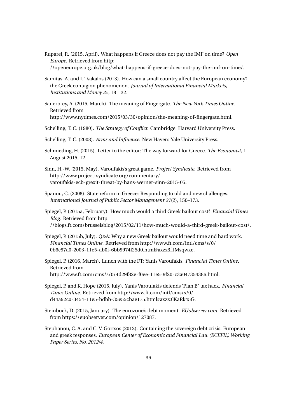Ruparel, R. (2015, April). What happens if Greece does not pay the IMF on time? *Open Europe*. Retrieved from http:

//openeurope.org.uk/blog/what-happens-if-greece-does-not-pay-the-imf-on-time/.

- Samitas, A. and I. Tsakalos (2013). How can a small country affect the European economy? the Greek contagion phenomenon. *Journal of International Financial Markets, Institutions and Money 25*, 18 – 32.
- Sauerbrey, A. (2015, March). The meaning of Fingergate. *The New York Times Online*. Retrieved from http://www.nytimes.com/2015/03/30/opinion/the-meaning-of-fingergate.html.
- Schelling, T. C. (1980). *The Strategy of Conflict*. Cambridge: Harvard University Press.
- Schelling, T. C. (2008). *Arms and Influence*. New Haven: Yale University Press.
- Schmieding, H. (2015). Letter to the editor: The way forward for Greece. *The Economist*, 1 August 2015, 12.
- Sinn, H.-W. (2015, May). Varoufakis's great game. *Project Syndicate*. Retrieved from http://www.project-syndicate.org/commentary/ varoufakis-ecb-grexit-threat-by-hans-werner-sinn-2015-05.
- Spanou, C. (2008). State reform in Greece: Responding to old and new challenges. *International Journal of Public Sector Management 21*(2), 150–173.
- Spiegel, P. (2015a, February). How much would a third Greek bailout cost? *Financial Times Blog*. Retrieved from http: //blogs.ft.com/brusselsblog/2015/02/11/how-much-would-a-third-greek-bailout-cost/.
- Spiegel, P. (2015b, July). Q&A: Why a new Greek bailout would need time and hard work. *Financial Times Online*. Retrieved from http://www.ft.com/intl/cms/s/0/ 0b6c97a0-2003-11e5-ab0f-6bb9974f25d0.html#axzz3f1Msqwke.
- Spiegel, P. (2016, March). Lunch with the FT: Yanis Varoufakis. *Financial Times Online*. Retrieved from http://www.ft.com/cms/s/0/4d29f82e-f0ee-11e5-9f20-c3a047354386.html.
- Spiegel, P. and K. Hope (2015, July). Yanis Varoufakis defends 'Plan B' tax hack. *Financial Times Online*. Retrieved from http://www.ft.com/intl/cms/s/0/ d44a92c0-3454-11e5-bdbb-35e55cbae175.html#axzz3lKaRk45G.
- Steinbock, D. (2015, January). The eurozone's debt moment. *EUobserver.com*. Retrieved from https://euobserver.com/opinion/127087.
- Stephanou, C. A. and C. V. Gortsos (2012). Containing the sovereign debt crisis: European and greek responses. *European Center of Economic and Financial Law (ECEFIL) Working Paper Series, No. 2012/4*.